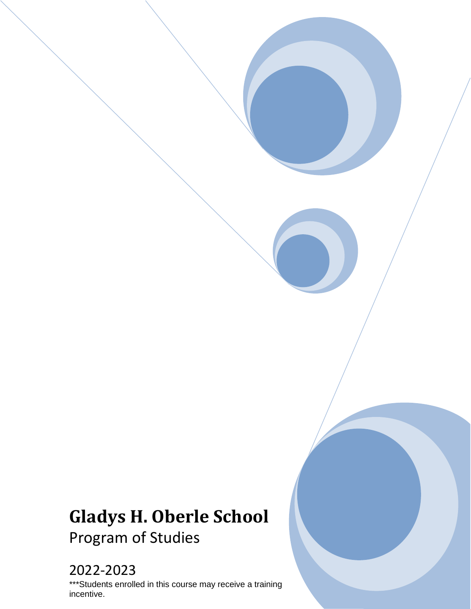# **Gladys H. Oberle School** Program of Studies

# 2022-2023

\*\*\*Students enrolled in this course may receive a training incentive.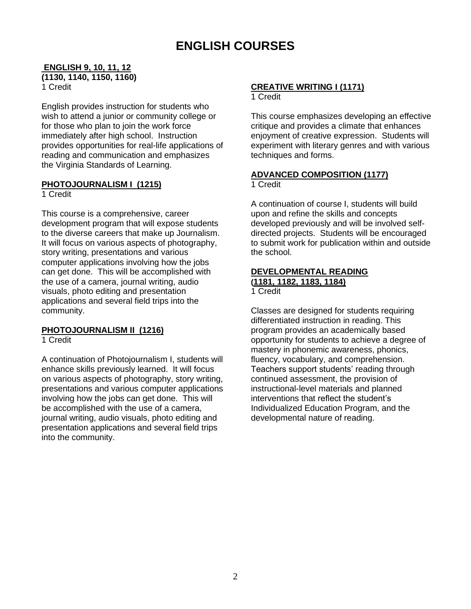## **ENGLISH COURSES**

#### **ENGLISH 9, 10, 11, 12 (1130, 1140, 1150, 1160)** 1 Credit

English provides instruction for students who wish to attend a junior or community college or for those who plan to join the work force immediately after high school. Instruction provides opportunities for real-life applications of reading and communication and emphasizes the Virginia Standards of Learning.

#### **PHOTOJOURNALISM I (1215)**

1 Credit

This course is a comprehensive, career development program that will expose students to the diverse careers that make up Journalism. It will focus on various aspects of photography, story writing, presentations and various computer applications involving how the jobs can get done. This will be accomplished with the use of a camera, journal writing, audio visuals, photo editing and presentation applications and several field trips into the community.

#### **PHOTOJOURNALISM II (1216)**

1 Credit

A continuation of Photojournalism I, students will enhance skills previously learned. It will focus on various aspects of photography, story writing, presentations and various computer applications involving how the jobs can get done. This will be accomplished with the use of a camera, journal writing, audio visuals, photo editing and presentation applications and several field trips into the community.

#### **CREATIVE WRITING I (1171)**

1 Credit

This course emphasizes developing an effective critique and provides a climate that enhances enjoyment of creative expression. Students will experiment with literary genres and with various techniques and forms.

#### **ADVANCED COMPOSITION (1177)**

1 Credit

A continuation of course I, students will build upon and refine the skills and concepts developed previously and will be involved selfdirected projects. Students will be encouraged to submit work for publication within and outside the school.

#### **DEVELOPMENTAL READING (1181, 1182, 1183, 1184)**

#### 1 Credit

Classes are designed for students requiring differentiated instruction in reading. This program provides an academically based opportunity for students to achieve a degree of mastery in phonemic awareness, phonics, fluency, vocabulary, and comprehension. Teachers support students' reading through continued assessment, the provision of instructional-level materials and planned interventions that reflect the student's Individualized Education Program, and the developmental nature of reading.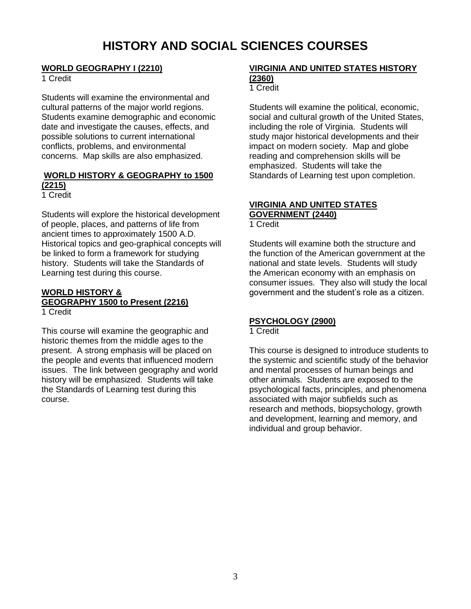## **HISTORY AND SOCIAL SCIENCES COURSES**

#### **WORLD GEOGRAPHY I (2210)**

1 Credit

Students will examine the environmental and cultural patterns of the major world regions. Students examine demographic and economic date and investigate the causes, effects, and possible solutions to current international conflicts, problems, and environmental concerns. Map skills are also emphasized.

### **WORLD HISTORY & GEOGRAPHY to 1500 (2215)**

1 Credit

Students will explore the historical development of people, places, and patterns of life from ancient times to approximately 1500 A.D. Historical topics and geo-graphical concepts will be linked to form a framework for studying history. Students will take the Standards of Learning test during this course.

#### **WORLD HISTORY & GEOGRAPHY 1500 to Present (2216)** 1 Credit

This course will examine the geographic and historic themes from the middle ages to the present. A strong emphasis will be placed on the people and events that influenced modern issues. The link between geography and world history will be emphasized. Students will take the Standards of Learning test during this course.

#### **VIRGINIA AND UNITED STATES HISTORY (2360)**

#### 1 Credit

Students will examine the political, economic, social and cultural growth of the United States, including the role of Virginia. Students will study major historical developments and their impact on modern society. Map and globe reading and comprehension skills will be emphasized. Students will take the Standards of Learning test upon completion.

## **VIRGINIA AND UNITED STATES**

**GOVERNMENT (2440)**

1 Credit

Students will examine both the structure and the function of the American government at the national and state levels. Students will study the American economy with an emphasis on consumer issues. They also will study the local government and the student's role as a citizen.

### **PSYCHOLOGY (2900)**

#### 1 Credit

This course is designed to introduce students to the systemic and scientific study of the behavior and mental processes of human beings and other animals. Students are exposed to the psychological facts, principles, and phenomena associated with major subfields such as research and methods, biopsychology, growth and development, learning and memory, and individual and group behavior.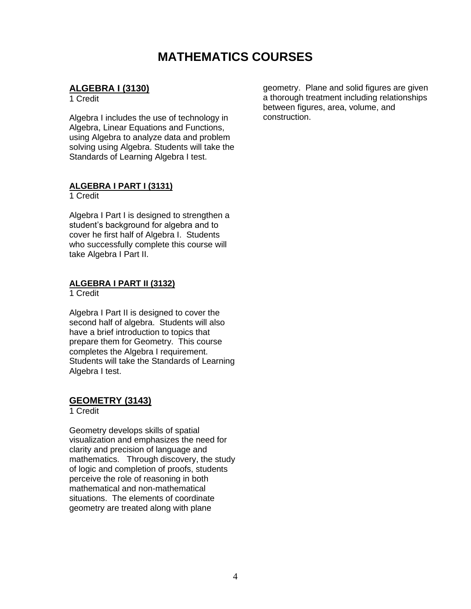## **MATHEMATICS COURSES**

### **ALGEBRA I (3130)**

1 Credit

Algebra I includes the use of technology in Algebra, Linear Equations and Functions, using Algebra to analyze data and problem solving using Algebra. Students will take the Standards of Learning Algebra I test.

#### **ALGEBRA I PART I (3131)**

1 Credit

Algebra I Part I is designed to strengthen a student's background for algebra and to cover he first half of Algebra I. Students who successfully complete this course will take Algebra I Part II.

#### **ALGEBRA I PART II (3132)**

1 Credit

Algebra I Part II is designed to cover the second half of algebra. Students will also have a brief introduction to topics that prepare them for Geometry. This course completes the Algebra I requirement. Students will take the Standards of Learning Algebra I test.

#### **GEOMETRY (3143)**

1 Credit

Geometry develops skills of spatial visualization and emphasizes the need for clarity and precision of language and mathematics. Through discovery, the study of logic and completion of proofs, students perceive the role of reasoning in both mathematical and non-mathematical situations. The elements of coordinate geometry are treated along with plane

geometry. Plane and solid figures are given a thorough treatment including relationships between figures, area, volume, and construction.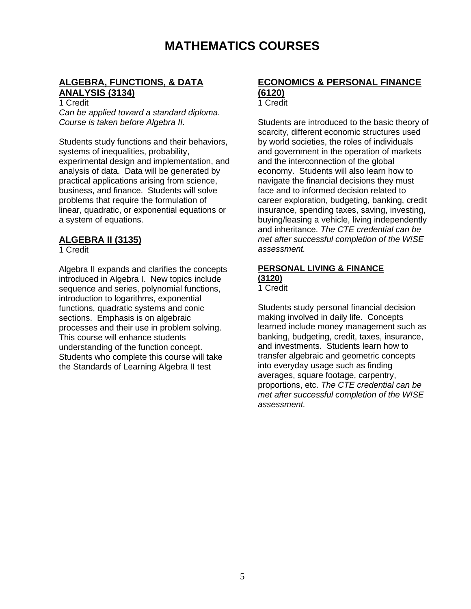## **MATHEMATICS COURSES**

### **ALGEBRA, FUNCTIONS, & DATA ANALYSIS (3134)**

1 Credit

*Can be applied toward a standard diploma. Course is taken before Algebra II.*

Students study functions and their behaviors, systems of inequalities, probability, experimental design and implementation, and analysis of data. Data will be generated by practical applications arising from science, business, and finance. Students will solve problems that require the formulation of linear, quadratic, or exponential equations or a system of equations.

#### **ALGEBRA II (3135)**

1 Credit

Algebra II expands and clarifies the concepts introduced in Algebra I. New topics include sequence and series, polynomial functions, introduction to logarithms, exponential functions, quadratic systems and conic sections. Emphasis is on algebraic processes and their use in problem solving. This course will enhance students understanding of the function concept. Students who complete this course will take the Standards of Learning Algebra II test

### **ECONOMICS & PERSONAL FINANCE (6120)**

1 Credit

Students are introduced to the basic theory of scarcity, different economic structures used by world societies, the roles of individuals and government in the operation of markets and the interconnection of the global economy. Students will also learn how to navigate the financial decisions they must face and to informed decision related to career exploration, budgeting, banking, credit insurance, spending taxes, saving, investing, buying/leasing a vehicle, living independently and inheritance. *The CTE credential can be met after successful completion of the W!SE assessment.* 

## **PERSONAL LIVING & FINANCE (3120)**

1 Credit

Students study personal financial decision making involved in daily life. Concepts learned include money management such as banking, budgeting, credit, taxes, insurance, and investments. Students learn how to transfer algebraic and geometric concepts into everyday usage such as finding averages, square footage, carpentry, proportions, etc. *The CTE credential can be met after successful completion of the W!SE assessment.*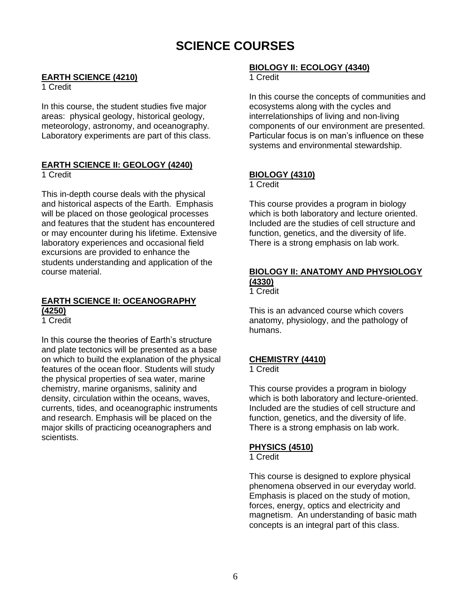## **SCIENCE COURSES**

#### **EARTH SCIENCE (4210)**

1 Credit

In this course, the student studies five major areas: physical geology, historical geology, meteorology, astronomy, and oceanography. Laboratory experiments are part of this class.

## **EARTH SCIENCE II: GEOLOGY (4240)**

1 Credit

This in-depth course deals with the physical and historical aspects of the Earth. Emphasis will be placed on those geological processes and features that the student has encountered or may encounter during his lifetime. Extensive laboratory experiences and occasional field excursions are provided to enhance the students understanding and application of the course material.

### **EARTH SCIENCE II: OCEANOGRAPHY (4250)**

1 Credit

In this course the theories of Earth's structure and plate tectonics will be presented as a base on which to build the explanation of the physical features of the ocean floor. Students will study the physical properties of sea water, marine chemistry, marine organisms, salinity and density, circulation within the oceans, waves, currents, tides, and oceanographic instruments and research. Emphasis will be placed on the major skills of practicing oceanographers and scientists.

## **BIOLOGY II: ECOLOGY (4340)**

1 Credit

In this course the concepts of communities and ecosystems along with the cycles and interrelationships of living and non-living components of our environment are presented. Particular focus is on man's influence on these systems and environmental stewardship.

### **BIOLOGY (4310)**

1 Credit

This course provides a program in biology which is both laboratory and lecture oriented. Included are the studies of cell structure and function, genetics, and the diversity of life. There is a strong emphasis on lab work.

## **BIOLOGY II: ANATOMY AND PHYSIOLOGY (4330)**

1 Credit

This is an advanced course which covers anatomy, physiology, and the pathology of humans.

### **CHEMISTRY (4410)**

#### 1 Credit

This course provides a program in biology which is both laboratory and lecture-oriented. Included are the studies of cell structure and function, genetics, and the diversity of life. There is a strong emphasis on lab work.

### **PHYSICS (4510)**

1 Credit

This course is designed to explore physical phenomena observed in our everyday world. Emphasis is placed on the study of motion, forces, energy, optics and electricity and magnetism. An understanding of basic math concepts is an integral part of this class.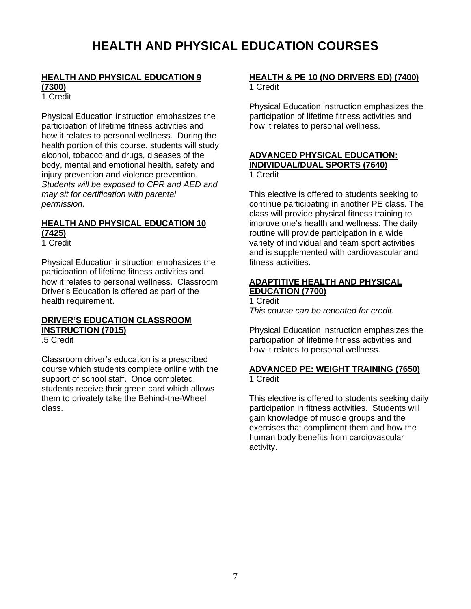#### **HEALTH AND PHYSICAL EDUCATION 9 (7300)**

1 Credit

Physical Education instruction emphasizes the participation of lifetime fitness activities and how it relates to personal wellness. During the health portion of this course, students will study alcohol, tobacco and drugs, diseases of the body, mental and emotional health, safety and injury prevention and violence prevention. *Students will be exposed to CPR and AED and may sit for certification with parental permission.*

### **HEALTH AND PHYSICAL EDUCATION 10 (7425)**

1 Credit

Physical Education instruction emphasizes the participation of lifetime fitness activities and how it relates to personal wellness. Classroom Driver's Education is offered as part of the health requirement.

### **DRIVER'S EDUCATION CLASSROOM INSTRUCTION (7015)**

.5 Credit

Classroom driver's education is a prescribed course which students complete online with the support of school staff. Once completed, students receive their green card which allows them to privately take the Behind-the-Wheel class.

#### **HEALTH & PE 10 (NO DRIVERS ED) (7400)** 1 Credit

Physical Education instruction emphasizes the participation of lifetime fitness activities and how it relates to personal wellness.

#### **ADVANCED PHYSICAL EDUCATION: INDIVIDUAL/DUAL SPORTS (7640)** 1 Credit

This elective is offered to students seeking to continue participating in another PE class. The class will provide physical fitness training to improve one's health and wellness. The daily routine will provide participation in a wide variety of individual and team sport activities and is supplemented with cardiovascular and fitness activities.

#### **ADAPTITIVE HEALTH AND PHYSICAL EDUCATION (7700)**

1 Credit *This course can be repeated for credit.*

Physical Education instruction emphasizes the participation of lifetime fitness activities and how it relates to personal wellness.

#### **ADVANCED PE: WEIGHT TRAINING (7650)** 1 Credit

This elective is offered to students seeking daily participation in fitness activities. Students will gain knowledge of muscle groups and the exercises that compliment them and how the human body benefits from cardiovascular activity.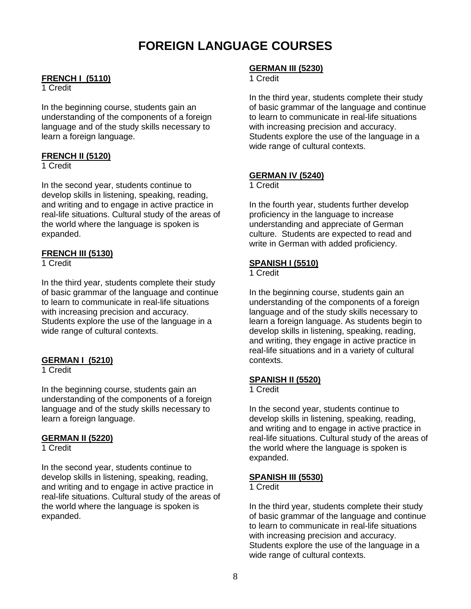## **FOREIGN LANGUAGE COURSES**

#### **FRENCH I (5110)**

#### 1 Credit

In the beginning course, students gain an understanding of the components of a foreign language and of the study skills necessary to learn a foreign language.

#### **FRENCH II (5120)**

1 Credit

In the second year, students continue to develop skills in listening, speaking, reading, and writing and to engage in active practice in real-life situations. Cultural study of the areas of the world where the language is spoken is expanded.

#### **FRENCH III (5130)**

1 Credit

In the third year, students complete their study of basic grammar of the language and continue to learn to communicate in real-life situations with increasing precision and accuracy. Students explore the use of the language in a wide range of cultural contexts.

#### **GERMAN I (5210)**

1 Credit

In the beginning course, students gain an understanding of the components of a foreign language and of the study skills necessary to learn a foreign language.

#### **GERMAN II (5220)**

1 Credit

In the second year, students continue to develop skills in listening, speaking, reading, and writing and to engage in active practice in real-life situations. Cultural study of the areas of the world where the language is spoken is expanded.

#### **GERMAN III (5230)**

#### 1 Credit

In the third year, students complete their study of basic grammar of the language and continue to learn to communicate in real-life situations with increasing precision and accuracy. Students explore the use of the language in a wide range of cultural contexts.

#### **GERMAN IV (5240)**

1 Credit

In the fourth year, students further develop proficiency in the language to increase understanding and appreciate of German culture. Students are expected to read and write in German with added proficiency.

#### **SPANISH I (5510)**

1 Credit

In the beginning course, students gain an understanding of the components of a foreign language and of the study skills necessary to learn a foreign language. As students begin to develop skills in listening, speaking, reading, and writing, they engage in active practice in real-life situations and in a variety of cultural contexts.

#### **SPANISH II (5520)**

1 Credit

In the second year, students continue to develop skills in listening, speaking, reading, and writing and to engage in active practice in real-life situations. Cultural study of the areas of the world where the language is spoken is expanded.

#### **SPANISH III (5530)**

1 Credit

In the third year, students complete their study of basic grammar of the language and continue to learn to communicate in real-life situations with increasing precision and accuracy. Students explore the use of the language in a wide range of cultural contexts.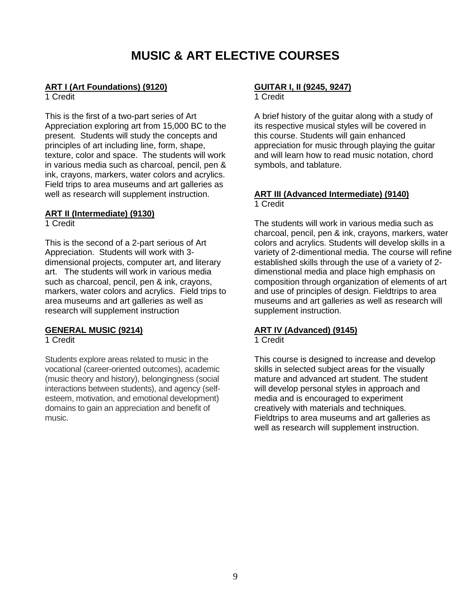## **MUSIC & ART ELECTIVE COURSES**

#### **ART I (Art Foundations) (9120)**

1 Credit

This is the first of a two-part series of Art Appreciation exploring art from 15,000 BC to the present. Students will study the concepts and principles of art including line, form, shape, texture, color and space. The students will work in various media such as charcoal, pencil, pen & ink, crayons, markers, water colors and acrylics. Field trips to area museums and art galleries as well as research will supplement instruction.

#### **ART II (Intermediate) (9130)**

1 Credit

This is the second of a 2-part serious of Art Appreciation. Students will work with 3 dimensional projects, computer art, and literary art. The students will work in various media such as charcoal, pencil, pen & ink, crayons, markers, water colors and acrylics. Field trips to area museums and art galleries as well as research will supplement instruction

#### **GENERAL MUSIC (9214)**

1 Credit

Students explore areas related to music in the vocational (career-oriented outcomes), academic (music theory and history), belongingness (social interactions between students), and agency (selfesteem, motivation, and emotional development) domains to gain an appreciation and benefit of music.

#### **GUITAR I, II (9245, 9247)**

1 Credit

A brief history of the guitar along with a study of its respective musical styles will be covered in this course. Students will gain enhanced appreciation for music through playing the guitar and will learn how to read music notation, chord symbols, and tablature.

#### **ART III (Advanced Intermediate) (9140)** 1 Credit

The students will work in various media such as charcoal, pencil, pen & ink, crayons, markers, water colors and acrylics. Students will develop skills in a variety of 2-dimentional media. The course will refine established skills through the use of a variety of 2 dimenstional media and place high emphasis on composition through organization of elements of art and use of principles of design. Fieldtrips to area museums and art galleries as well as research will supplement instruction.

### **ART IV (Advanced) (9145)**

#### 1 Credit

This course is designed to increase and develop skills in selected subject areas for the visually mature and advanced art student. The student will develop personal styles in approach and media and is encouraged to experiment creatively with materials and techniques. Fieldtrips to area museums and art galleries as well as research will supplement instruction.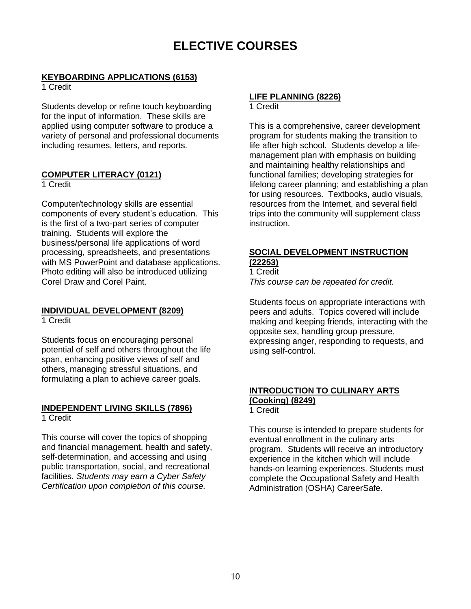## **ELECTIVE COURSES**

#### **KEYBOARDING APPLICATIONS (6153)**

1 Credit

Students develop or refine touch keyboarding for the input of information. These skills are applied using computer software to produce a variety of personal and professional documents including resumes, letters, and reports.

### **COMPUTER LITERACY (0121)**

1 Credit

Computer/technology skills are essential components of every student's education. This is the first of a two-part series of computer training. Students will explore the business/personal life applications of word processing, spreadsheets, and presentations with MS PowerPoint and database applications. Photo editing will also be introduced utilizing Corel Draw and Corel Paint.

## **INDIVIDUAL DEVELOPMENT (8209)**

1 Credit

Students focus on encouraging personal potential of self and others throughout the life span, enhancing positive views of self and others, managing stressful situations, and formulating a plan to achieve career goals.

#### **INDEPENDENT LIVING SKILLS (7896)** 1 Credit

This course will cover the topics of shopping and financial management, health and safety, self-determination, and accessing and using public transportation, social, and recreational facilities. *Students may earn a Cyber Safety Certification upon completion of this course.*

#### **LIFE PLANNING (8226)** 1 Credit

This is a comprehensive, career development program for students making the transition to life after high school. Students develop a lifemanagement plan with emphasis on building and maintaining healthy relationships and functional families; developing strategies for lifelong career planning; and establishing a plan for using resources. Textbooks, audio visuals, resources from the Internet, and several field trips into the community will supplement class instruction.

## **SOCIAL DEVELOPMENT INSTRUCTION**

**(22253)** 1 Credit

*This course can be repeated for credit.*

Students focus on appropriate interactions with peers and adults. Topics covered will include making and keeping friends, interacting with the opposite sex, handling group pressure, expressing anger, responding to requests, and using self-control.

#### **INTRODUCTION TO CULINARY ARTS (Cooking) (8249)** 1 Credit

This course is intended to prepare students for eventual enrollment in the culinary arts program. Students will receive an introductory experience in the kitchen which will include hands-on learning experiences. Students must complete the Occupational Safety and Health Administration (OSHA) CareerSafe.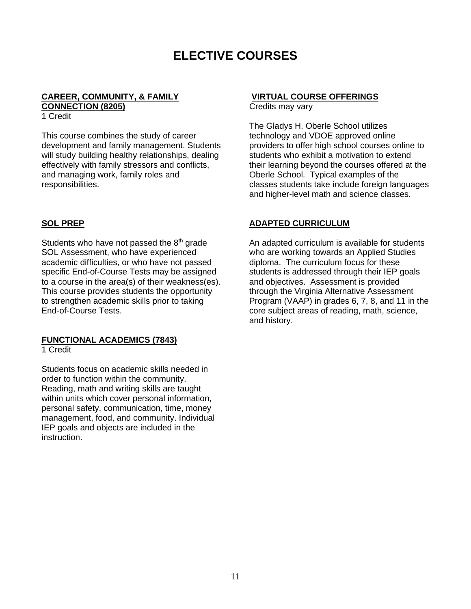## **ELECTIVE COURSES**

#### **CAREER, COMMUNITY, & FAMILY CONNECTION (8205)**

1 Credit

This course combines the study of career development and family management. Students will study building healthy relationships, dealing effectively with family stressors and conflicts, and managing work, family roles and responsibilities.

#### **SOL PREP**

Students who have not passed the  $8<sup>th</sup>$  grade SOL Assessment, who have experienced academic difficulties, or who have not passed specific End-of-Course Tests may be assigned to a course in the area(s) of their weakness(es). This course provides students the opportunity to strengthen academic skills prior to taking End-of-Course Tests.

#### **FUNCTIONAL ACADEMICS (7843)**

1 Credit

Students focus on academic skills needed in order to function within the community. Reading, math and writing skills are taught within units which cover personal information, personal safety, communication, time, money management, food, and community. Individual IEP goals and objects are included in the instruction.

#### **VIRTUAL COURSE OFFERINGS**

Credits may vary

The Gladys H. Oberle School utilizes technology and VDOE approved online providers to offer high school courses online to students who exhibit a motivation to extend their learning beyond the courses offered at the Oberle School. Typical examples of the classes students take include foreign languages and higher-level math and science classes.

#### **ADAPTED CURRICULUM**

An adapted curriculum is available for students who are working towards an Applied Studies diploma. The curriculum focus for these students is addressed through their IEP goals and objectives. Assessment is provided through the Virginia Alternative Assessment Program (VAAP) in grades 6, 7, 8, and 11 in the core subject areas of reading, math, science, and history.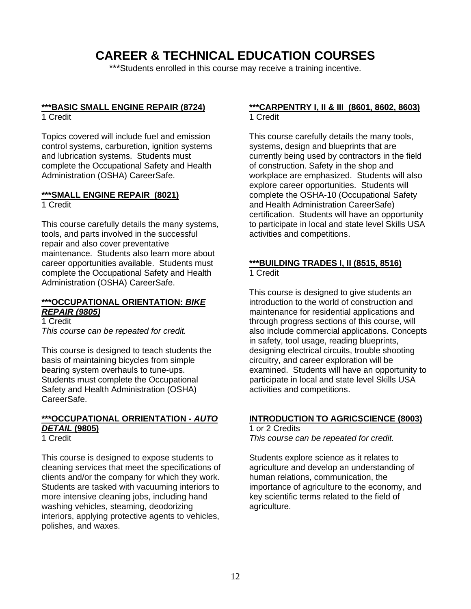## **CAREER & TECHNICAL EDUCATION COURSES**

\*\*\*Students enrolled in this course may receive a training incentive.

## **\*\*\*BASIC SMALL ENGINE REPAIR (8724)**

1 Credit

Topics covered will include fuel and emission control systems, carburetion, ignition systems and lubrication systems. Students must complete the Occupational Safety and Health Administration (OSHA) CareerSafe.

#### **\*\*\*SMALL ENGINE REPAIR (8021)** 1 Credit

This course carefully details the many systems, tools, and parts involved in the successful repair and also cover preventative maintenance. Students also learn more about career opportunities available. Students must complete the Occupational Safety and Health Administration (OSHA) CareerSafe.

#### **\*\*\*OCCUPATIONAL ORIENTATION:** *BIKE REPAIR (9805)*

1 Credit *This course can be repeated for credit.*

This course is designed to teach students the basis of maintaining bicycles from simple bearing system overhauls to tune-ups. Students must complete the Occupational Safety and Health Administration (OSHA) CareerSafe.

### **\*\*\*OCCUPATIONAL ORRIENTATION -** *AUTO DETAIL* **(9805)**

1 Credit

This course is designed to expose students to cleaning services that meet the specifications of clients and/or the company for which they work. Students are tasked with vacuuming interiors to more intensive cleaning jobs, including hand washing vehicles, steaming, deodorizing interiors, applying protective agents to vehicles, polishes, and waxes.

#### **\*\*\*CARPENTRY I, II & III (8601, 8602, 8603)** 1 Credit

This course carefully details the many tools, systems, design and blueprints that are currently being used by contractors in the field of construction. Safety in the shop and workplace are emphasized. Students will also explore career opportunities. Students will complete the OSHA-10 (Occupational Safety and Health Administration CareerSafe) certification. Students will have an opportunity to participate in local and state level Skills USA activities and competitions.

#### **\*\*\*BUILDING TRADES I, II (8515, 8516)** 1 Credit

This course is designed to give students an introduction to the world of construction and maintenance for residential applications and through progress sections of this course, will also include commercial applications. Concepts in safety, tool usage, reading blueprints, designing electrical circuits, trouble shooting circuitry, and career exploration will be examined. Students will have an opportunity to participate in local and state level Skills USA activities and competitions.

#### **INTRODUCTION TO AGRICSCIENCE (8003)**

#### 1 or 2 Credits

*This course can be repeated for credit.*

Students explore science as it relates to agriculture and develop an understanding of human relations, communication, the importance of agriculture to the economy, and key scientific terms related to the field of agriculture.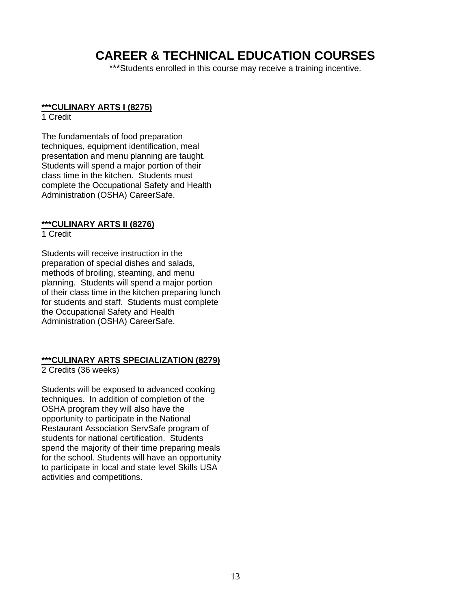## **CAREER & TECHNICAL EDUCATION COURSES**

\*\*\*Students enrolled in this course may receive a training incentive.

#### **\*\*\*CULINARY ARTS I (8275)**

#### 1 Credit

The fundamentals of food preparation techniques, equipment identification, meal presentation and menu planning are taught. Students will spend a major portion of their class time in the kitchen. Students must complete the Occupational Safety and Health Administration (OSHA) CareerSafe.

#### **\*\*\*CULINARY ARTS II (8276)**

#### 1 Credit

Students will receive instruction in the preparation of special dishes and salads, methods of broiling, steaming, and menu planning. Students will spend a major portion of their class time in the kitchen preparing lunch for students and staff. Students must complete the Occupational Safety and Health Administration (OSHA) CareerSafe.

#### **\*\*\*CULINARY ARTS SPECIALIZATION (8279)**

2 Credits (36 weeks)

Students will be exposed to advanced cooking techniques. In addition of completion of the OSHA program they will also have the opportunity to participate in the National Restaurant Association ServSafe program of students for national certification. Students spend the majority of their time preparing meals for the school. Students will have an opportunity to participate in local and state level Skills USA activities and competitions.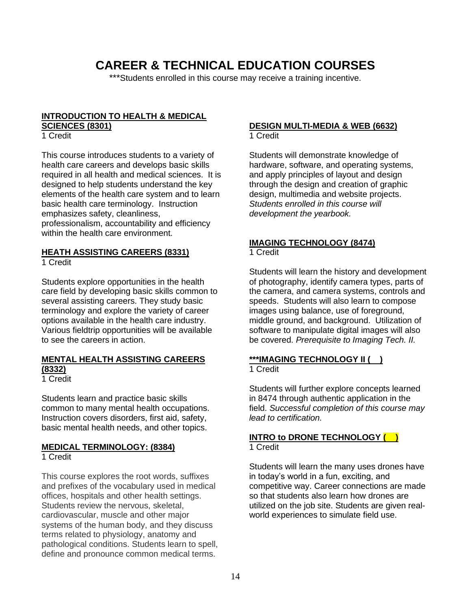## **CAREER & TECHNICAL EDUCATION COURSES**

\*\*\*Students enrolled in this course may receive a training incentive.

#### **INTRODUCTION TO HEALTH & MEDICAL SCIENCES (8301)**

1 Credit

This course introduces students to a variety of health care careers and develops basic skills required in all health and medical sciences. It is designed to help students understand the key elements of the health care system and to learn basic health care terminology. Instruction emphasizes safety, cleanliness, professionalism, accountability and efficiency within the health care environment.

#### **HEATH ASSISTING CAREERS (8331)**

1 Credit

Students explore opportunities in the health care field by developing basic skills common to several assisting careers. They study basic terminology and explore the variety of career options available in the health care industry. Various fieldtrip opportunities will be available to see the careers in action.

#### **MENTAL HEALTH ASSISTING CAREERS (8332)**

1 Credit

Students learn and practice basic skills common to many mental health occupations. Instruction covers disorders, first aid, safety, basic mental health needs, and other topics.

#### **MEDICAL TERMINOLOGY: (8384)** 1 Credit

This course explores the root words, suffixes and prefixes of the vocabulary used in medical offices, hospitals and other health settings. Students review the nervous, skeletal, cardiovascular, muscle and other major systems of the human body, and they discuss terms related to physiology, anatomy and pathological conditions. Students learn to spell, define and pronounce common medical terms.

## **DESIGN MULTI-MEDIA & WEB (6632)**

1 Credit

Students will demonstrate knowledge of hardware, software, and operating systems, and apply principles of layout and design through the design and creation of graphic design, multimedia and website projects. *Students enrolled in this course will development the yearbook.*

#### **IMAGING TECHNOLOGY (8474)** 1 Credit

Students will learn the history and development of photography, identify camera types, parts of the camera, and camera systems, controls and speeds. Students will also learn to compose images using balance, use of foreground, middle ground, and background. Utilization of software to manipulate digital images will also be covered. *Prerequisite to Imaging Tech. II.*

#### **\*\*\*IMAGING TECHNOLOGY II ( )** 1 Credit

Students will further explore concepts learned in 8474 through authentic application in the field. *Successful completion of this course may lead to certification.*

#### **INTRO to DRONE TECHNOLOGY ( )** 1 Credit

Students will learn the many uses drones have in today's world in a fun, exciting, and competitive way. Career connections are made so that students also learn how drones are utilized on the job site. Students are given realworld experiences to simulate field use.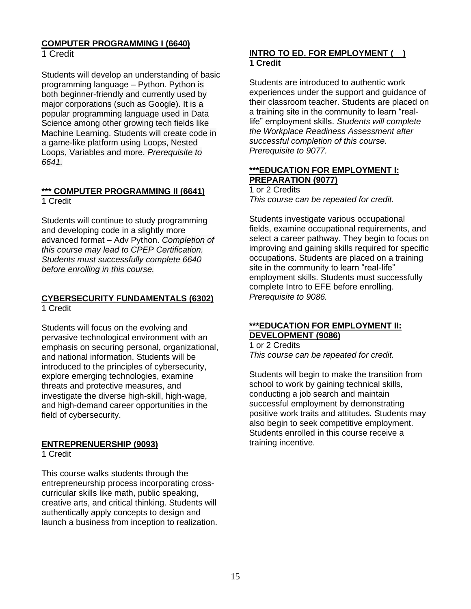#### **COMPUTER PROGRAMMING I (6640)** 1 Credit

Students will develop an understanding of basic programming language – Python. Python is

both beginner-friendly and currently used by major corporations (such as Google). It is a popular programming language used in Data Science among other growing tech fields like Machine Learning. Students will create code in a game-like platform using Loops, Nested Loops, Variables and more. *Prerequisite to 6641.*

#### **\*\*\* COMPUTER PROGRAMMING II (6641)** 1 Credit

Students will continue to study programming and developing code in a slightly more advanced format – Adv Python. *Completion of this course may lead to CPEP Certification. Students must successfully complete 6640 before enrolling in this course.*

#### **CYBERSECURITY FUNDAMENTALS (6302)** 1 Credit

Students will focus on the evolving and pervasive technological environment with an emphasis on securing personal, organizational, and national information. Students will be introduced to the principles of cybersecurity, explore emerging technologies, examine threats and protective measures, and investigate the diverse high-skill, high-wage, and high-demand career opportunities in the field of cybersecurity.

## **ENTREPRENUERSHIP (9093)**

1 Credit

This course walks students through the entrepreneurship process incorporating crosscurricular skills like math, public speaking, creative arts, and critical thinking. Students will authentically apply concepts to design and launch a business from inception to realization.

### **INTRO TO ED. FOR EMPLOYMENT ( ) 1 Credit**

Students are introduced to authentic work experiences under the support and guidance of their classroom teacher. Students are placed on a training site in the community to learn "reallife" employment skills. *Students will complete the Workplace Readiness Assessment after successful completion of this course. Prerequisite to 9077.*

### **\*\*\*EDUCATION FOR EMPLOYMENT I: PREPARATION (9077)**

1 or 2 Credits *This course can be repeated for credit.*

Students investigate various occupational fields, examine occupational requirements, and select a career pathway. They begin to focus on improving and gaining skills required for specific occupations. Students are placed on a training site in the community to learn "real-life" employment skills. Students must successfully complete Intro to EFE before enrolling. *Prerequisite to 9086.*

#### **\*\*\*EDUCATION FOR EMPLOYMENT II: DEVELOPMENT (9086)**

1 or 2 Credits *This course can be repeated for credit.*

Students will begin to make the transition from school to work by gaining technical skills, conducting a job search and maintain successful employment by demonstrating positive work traits and attitudes. Students may also begin to seek competitive employment. Students enrolled in this course receive a training incentive.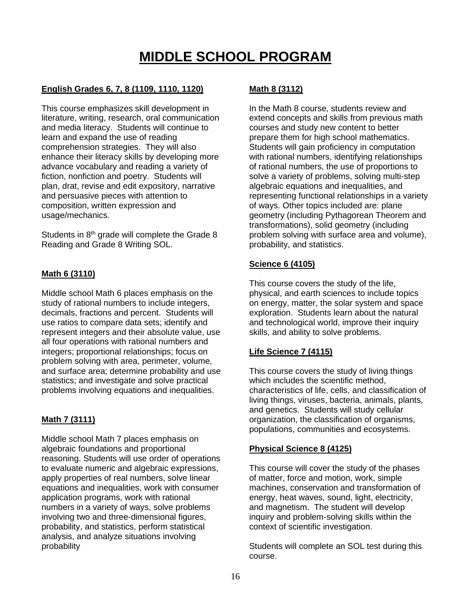# **MIDDLE SCHOOL PROGRAM**

#### **English Grades 6, 7, 8 (1109, 1110, 1120)**

This course emphasizes skill development in literature, writing, research, oral communication and media literacy. Students will continue to learn and expand the use of reading comprehension strategies. They will also enhance their literacy skills by developing more advance vocabulary and reading a variety of fiction, nonfiction and poetry. Students will plan, drat, revise and edit expository, narrative and persuasive pieces with attention to composition, written expression and usage/mechanics.

Students in 8<sup>th</sup> grade will complete the Grade 8 Reading and Grade 8 Writing SOL.

#### **Math 6 (3110)**

Middle school Math 6 places emphasis on the study of rational numbers to include integers, decimals, fractions and percent. Students will use ratios to compare data sets; identify and represent integers and their absolute value, use all four operations with rational numbers and integers; proportional relationships; focus on problem solving with area, perimeter, volume, and surface area; determine probability and use statistics; and investigate and solve practical problems involving equations and inequalities.

#### **Math 7 (3111)**

Middle school Math 7 places emphasis on algebraic foundations and proportional reasoning. Students will use order of operations to evaluate numeric and algebraic expressions, apply properties of real numbers, solve linear equations and inequalities, work with consumer application programs, work with rational numbers in a variety of ways, solve problems involving two and three-dimensional figures, probability, and statistics, perform statistical analysis, and analyze situations involving probability

### **Math 8 (3112)**

In the Math 8 course, students review and extend concepts and skills from previous math courses and study new content to better prepare them for high school mathematics. Students will gain proficiency in computation with rational numbers, identifying relationships of rational numbers, the use of proportions to solve a variety of problems, solving multi-step algebraic equations and inequalities, and representing functional relationships in a variety of ways. Other topics included are: plane geometry (including Pythagorean Theorem and transformations), solid geometry (including problem solving with surface area and volume), probability, and statistics.

#### **Science 6 (4105)**

This course covers the study of the life, physical, and earth sciences to include topics on energy, matter, the solar system and space exploration. Students learn about the natural and technological world, improve their inquiry skills, and ability to solve problems.

#### **Life Science 7 (4115)**

This course covers the study of living things which includes the scientific method, characteristics of life, cells, and classification of living things, viruses, bacteria, animals, plants, and genetics. Students will study cellular organization, the classification of organisms, populations, communities and ecosystems.

#### **Physical Science 8 (4125)**

This course will cover the study of the phases of matter, force and motion, work, simple machines, conservation and transformation of energy, heat waves, sound, light, electricity, and magnetism. The student will develop inquiry and problem-solving skills within the context of scientific investigation.

Students will complete an SOL test during this course.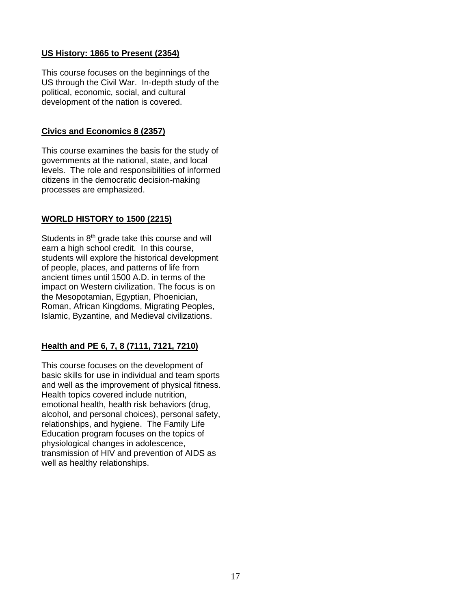#### **US History: 1865 to Present (2354)**

This course focuses on the beginnings of the US through the Civil War. In-depth study of the political, economic, social, and cultural development of the nation is covered.

#### **Civics and Economics 8 (2357)**

This course examines the basis for the study of governments at the national, state, and local levels. The role and responsibilities of informed citizens in the democratic decision-making processes are emphasized.

#### **WORLD HISTORY to 1500 (2215)**

Students in 8<sup>th</sup> grade take this course and will earn a high school credit. In this course, students will explore the historical development of people, places, and patterns of life from ancient times until 1500 A.D. in terms of the impact on Western civilization. The focus is on the Mesopotamian, Egyptian, Phoenician, Roman, African Kingdoms, Migrating Peoples, Islamic, Byzantine, and Medieval civilizations.

### **Health and PE 6, 7, 8 (7111, 7121, 7210)**

This course focuses on the development of basic skills for use in individual and team sports and well as the improvement of physical fitness. Health topics covered include nutrition, emotional health, health risk behaviors (drug, alcohol, and personal choices), personal safety, relationships, and hygiene. The Family Life Education program focuses on the topics of physiological changes in adolescence, transmission of HIV and prevention of AIDS as well as healthy relationships.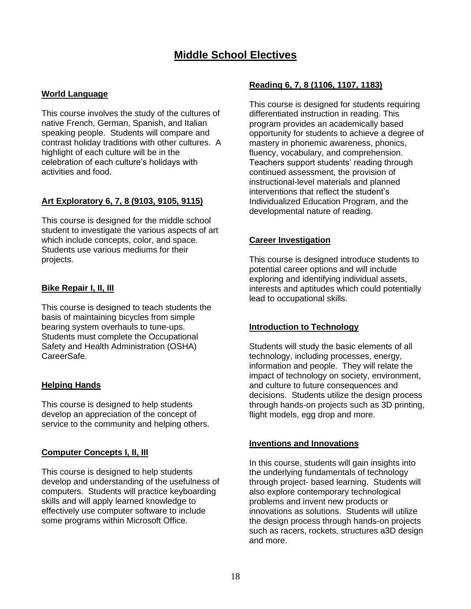## **Middle School Electives**

#### **World Language**

This course involves the study of the cultures of native French, German, Spanish, and Italian speaking people. Students will compare and contrast holiday traditions with other cultures. A highlight of each culture will be in the celebration of each culture's holidays with activities and food.

#### **Art Exploratory 6, 7, 8 (9103, 9105, 9115)**

This course is designed for the middle school student to investigate the various aspects of art which include concepts, color, and space. Students use various mediums for their projects.

#### **Bike Repair I, II, III**

This course is designed to teach students the basis of maintaining bicycles from simple bearing system overhauls to tune-ups. Students must complete the Occupational Safety and Health Administration (OSHA) CareerSafe.

#### **Helping Hands**

This course is designed to help students develop an appreciation of the concept of service to the community and helping others.

#### **Computer Concepts I, II, III**

This course is designed to help students develop and understanding of the usefulness of computers. Students will practice keyboarding skills and will apply learned knowledge to effectively use computer software to include some programs within Microsoft Office.

#### **Reading 6, 7, 8 (1106, 1107, 1183)**

This course is designed for students requiring differentiated instruction in reading. This program provides an academically based opportunity for students to achieve a degree of mastery in phonemic awareness, phonics, fluency, vocabulary, and comprehension. Teachers support students' reading through continued assessment, the provision of instructional-level materials and planned interventions that reflect the student's Individualized Education Program, and the developmental nature of reading.

#### **Career Investigation**

This course is designed introduce students to potential career options and will include exploring and identifying individual assets, interests and aptitudes which could potentially lead to occupational skills.

#### **Introduction to Technology**

Students will study the basic elements of all technology, including processes, energy, information and people. They will relate the impact of technology on society, environment, and culture to future consequences and decisions. Students utilize the design process through hands-on projects such as 3D printing, flight models, egg drop and more.

#### **Inventions and Innovations**

In this course, students will gain insights into the underlying fundamentals of technology through project- based learning. Students will also explore contemporary technological problems and invent new products or innovations as solutions. Students will utilize the design process through hands-on projects such as racers, rockets, structures a3D design and more.